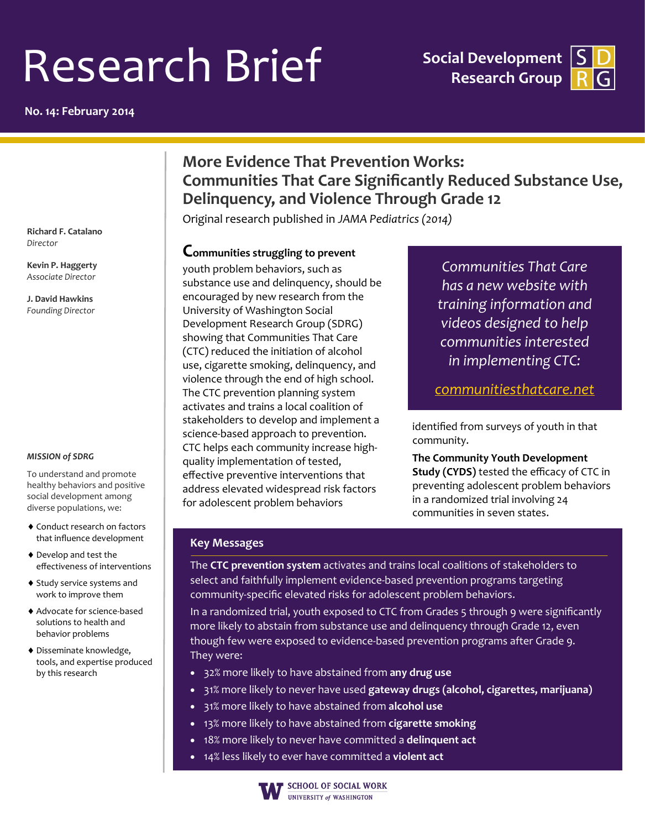# Research Brief

**No. 14: February 2014**

**Social Development Research Group**



## **More Evidence That Prevention Works: Communities That Care Significantly Reduced Substance Use, Delinquency, and Violence Through Grade 12**

Original research published in *JAMA Pediatrics (2014)*

**Richard F. Catalano** *Director*

**Kevin P. Haggerty** *Associate Director*

**J. David Hawkins** *Founding Director*

#### *MISSION of SDRG*

To understand and promote healthy behaviors and positive social development among diverse populations, we:

- Conduct research on factors that influence development
- Develop and test the effectiveness of interventions
- ◆ Study service systems and work to improve them
- Advocate for science-based solutions to health and behavior problems
- Disseminate knowledge, tools, and expertise produced by this research

#### **Communities struggling to prevent**

youth problem behaviors, such as substance use and delinquency, should be encouraged by new research from the University of Washington Social Development Research Group (SDRG) showing that Communities That Care (CTC) reduced the initiation of alcohol use, cigarette smoking, delinquency, and violence through the end of high school. The CTC prevention planning system activates and trains a local coalition of stakeholders to develop and implement a science-based approach to prevention. CTC helps each community increase highquality implementation of tested, effective preventive interventions that address elevated widespread risk factors for adolescent problem behaviors

*Communities That Care has a new website with training information and videos designed to help communities interested in implementing CTC:*

*[communitiesthatcare.net](http://www.communitiesthatcare.net/)*

identified from surveys of youth in that community.

**The Community Youth Development Study (CYDS)** tested the efficacy of CTC in preventing adolescent problem behaviors in a randomized trial involving 24 communities in seven states.

### **Key Messages**

The **CTC prevention system** activates and trains local coalitions of stakeholders to select and faithfully implement evidence-based prevention programs targeting community-specific elevated risks for adolescent problem behaviors.

In a randomized trial, youth exposed to CTC from Grades 5 through 9 were significantly more likely to abstain from substance use and delinquency through Grade 12, even though few were exposed to evidence-based prevention programs after Grade 9. They were:

- 32% more likely to have abstained from **any drug use**
- 31% more likely to never have used **gateway drugs (alcohol, cigarettes, marijuana)**
- 31% more likely to have abstained from **alcohol use**
- 13% more likely to have abstained from **cigarette smoking**
- 18% more likely to never have committed a **delinquent act**
- 14% less likely to ever have committed a **violent act**